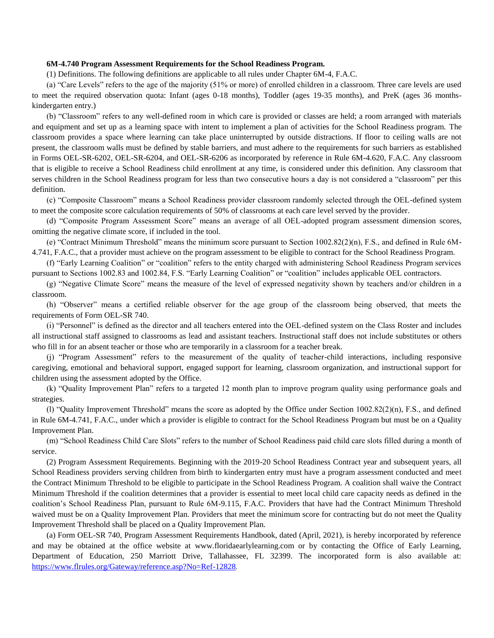## **6M-4.740 Program Assessment Requirements for the School Readiness Program.**

(1) Definitions. The following definitions are applicable to all rules under Chapter 6M-4, F.A.C.

(a) "Care Levels" refers to the age of the majority (51% or more) of enrolled children in a classroom. Three care levels are used to meet the required observation quota: Infant (ages 0-18 months), Toddler (ages 19-35 months), and PreK (ages 36 monthskindergarten entry.)

(b) "Classroom" refers to any well-defined room in which care is provided or classes are held; a room arranged with materials and equipment and set up as a learning space with intent to implement a plan of activities for the School Readiness program. The classroom provides a space where learning can take place uninterrupted by outside distractions. If floor to ceiling walls are not present, the classroom walls must be defined by stable barriers, and must adhere to the requirements for such barriers as established in Forms OEL-SR-6202, OEL-SR-6204, and OEL-SR-6206 as incorporated by reference in Rule 6M-4.620, F.A.C. Any classroom that is eligible to receive a School Readiness child enrollment at any time, is considered under this definition. Any classroom that serves children in the School Readiness program for less than two consecutive hours a day is not considered a "classroom" per this definition.

(c) "Composite Classroom" means a School Readiness provider classroom randomly selected through the OEL-defined system to meet the composite score calculation requirements of 50% of classrooms at each care level served by the provider.

(d) "Composite Program Assessment Score" means an average of all OEL-adopted program assessment dimension scores, omitting the negative climate score, if included in the tool.

(e) "Contract Minimum Threshold" means the minimum score pursuant to Section 1002.82(2)(n), F.S., and defined in Rule 6M-4.741, F.A.C., that a provider must achieve on the program assessment to be eligible to contract for the School Readiness Program.

(f) "Early Learning Coalition" or "coalition" refers to the entity charged with administering School Readiness Program services pursuant to Sections 1002.83 and 1002.84, F.S. "Early Learning Coalition" or "coalition" includes applicable OEL contractors.

(g) "Negative Climate Score" means the measure of the level of expressed negativity shown by teachers and/or children in a classroom.

(h) "Observer" means a certified reliable observer for the age group of the classroom being observed, that meets the requirements of Form OEL-SR 740.

(i) "Personnel" is defined as the director and all teachers entered into the OEL-defined system on the Class Roster and includes all instructional staff assigned to classrooms as lead and assistant teachers. Instructional staff does not include substitutes or others who fill in for an absent teacher or those who are temporarily in a classroom for a teacher break.

(j) "Program Assessment" refers to the measurement of the quality of teacher-child interactions, including responsive caregiving, emotional and behavioral support, engaged support for learning, classroom organization, and instructional support for children using the assessment adopted by the Office.

(k) "Quality Improvement Plan" refers to a targeted 12 month plan to improve program quality using performance goals and strategies.

(l) "Quality Improvement Threshold" means the score as adopted by the Office under Section 1002.82(2)(n), F.S., and defined in Rule 6M-4.741, F.A.C., under which a provider is eligible to contract for the School Readiness Program but must be on a Quality Improvement Plan.

(m) "School Readiness Child Care Slots" refers to the number of School Readiness paid child care slots filled during a month of service.

(2) Program Assessment Requirements. Beginning with the 2019-20 School Readiness Contract year and subsequent years, all School Readiness providers serving children from birth to kindergarten entry must have a program assessment conducted and meet the Contract Minimum Threshold to be eligible to participate in the School Readiness Program. A coalition shall waive the Contract Minimum Threshold if the coalition determines that a provider is essential to meet local child care capacity needs as defined in the coalition's School Readiness Plan, pursuant to Rule 6M-9.115, F.A.C. Providers that have had the Contract Minimum Threshold waived must be on a Quality Improvement Plan. Providers that meet the minimum score for contracting but do not meet the Quality Improvement Threshold shall be placed on a Quality Improvement Plan.

(a) Form OEL-SR 740, Program Assessment Requirements Handbook, dated (April, 2021), is hereby incorporated by reference and may be obtained at the office website at www.floridaearlylearning.com or by contacting the Office of Early Learning, Department of Education, 250 Marriott Drive, Tallahassee, FL 32399. The incorporated form is also available at: <https://www.flrules.org/Gateway/reference.asp?No=Ref-12828>.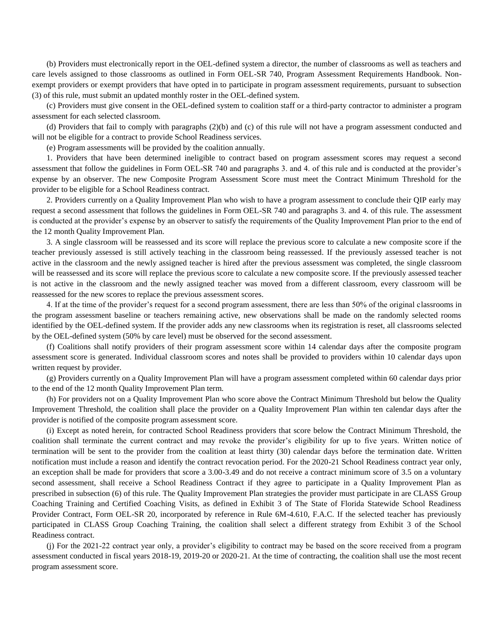(b) Providers must electronically report in the OEL-defined system a director, the number of classrooms as well as teachers and care levels assigned to those classrooms as outlined in Form OEL-SR 740, Program Assessment Requirements Handbook. Nonexempt providers or exempt providers that have opted in to participate in program assessment requirements, pursuant to subsection (3) of this rule, must submit an updated monthly roster in the OEL-defined system.

(c) Providers must give consent in the OEL-defined system to coalition staff or a third-party contractor to administer a program assessment for each selected classroom.

(d) Providers that fail to comply with paragraphs (2)(b) and (c) of this rule will not have a program assessment conducted and will not be eligible for a contract to provide School Readiness services.

(e) Program assessments will be provided by the coalition annually.

1. Providers that have been determined ineligible to contract based on program assessment scores may request a second assessment that follow the guidelines in Form OEL-SR 740 and paragraphs 3. and 4. of this rule and is conducted at the provider's expense by an observer. The new Composite Program Assessment Score must meet the Contract Minimum Threshold for the provider to be eligible for a School Readiness contract.

2. Providers currently on a Quality Improvement Plan who wish to have a program assessment to conclude their QIP early may request a second assessment that follows the guidelines in Form OEL-SR 740 and paragraphs 3. and 4. of this rule. The assessment is conducted at the provider's expense by an observer to satisfy the requirements of the Quality Improvement Plan prior to the end of the 12 month Quality Improvement Plan.

3. A single classroom will be reassessed and its score will replace the previous score to calculate a new composite score if the teacher previously assessed is still actively teaching in the classroom being reassessed. If the previously assessed teacher is not active in the classroom and the newly assigned teacher is hired after the previous assessment was completed, the single classroom will be reassessed and its score will replace the previous score to calculate a new composite score. If the previously assessed teacher is not active in the classroom and the newly assigned teacher was moved from a different classroom, every classroom will be reassessed for the new scores to replace the previous assessment scores.

4. If at the time of the provider's request for a second program assessment, there are less than 50% of the original classrooms in the program assessment baseline or teachers remaining active, new observations shall be made on the randomly selected rooms identified by the OEL-defined system. If the provider adds any new classrooms when its registration is reset, all classrooms selected by the OEL-defined system (50% by care level) must be observed for the second assessment.

(f) Coalitions shall notify providers of their program assessment score within 14 calendar days after the composite program assessment score is generated. Individual classroom scores and notes shall be provided to providers within 10 calendar days upon written request by provider.

(g) Providers currently on a Quality Improvement Plan will have a program assessment completed within 60 calendar days prior to the end of the 12 month Quality Improvement Plan term.

(h) For providers not on a Quality Improvement Plan who score above the Contract Minimum Threshold but below the Quality Improvement Threshold, the coalition shall place the provider on a Quality Improvement Plan within ten calendar days after the provider is notified of the composite program assessment score.

(i) Except as noted herein, for contracted School Readiness providers that score below the Contract Minimum Threshold, the coalition shall terminate the current contract and may revoke the provider's eligibility for up to five years. Written notice of termination will be sent to the provider from the coalition at least thirty (30) calendar days before the termination date. Written notification must include a reason and identify the contract revocation period. For the 2020-21 School Readiness contract year only, an exception shall be made for providers that score a 3.00-3.49 and do not receive a contract minimum score of 3.5 on a voluntary second assessment, shall receive a School Readiness Contract if they agree to participate in a Quality Improvement Plan as prescribed in subsection (6) of this rule. The Quality Improvement Plan strategies the provider must participate in are CLASS Group Coaching Training and Certified Coaching Visits, as defined in Exhibit 3 of The State of Florida Statewide School Readiness Provider Contract, Form OEL-SR 20, incorporated by reference in Rule 6M-4.610, F.A.C. If the selected teacher has previously participated in CLASS Group Coaching Training, the coalition shall select a different strategy from Exhibit 3 of the School Readiness contract.

(j) For the 2021-22 contract year only, a provider's eligibility to contract may be based on the score received from a program assessment conducted in fiscal years 2018-19, 2019-20 or 2020-21. At the time of contracting, the coalition shall use the most recent program assessment score.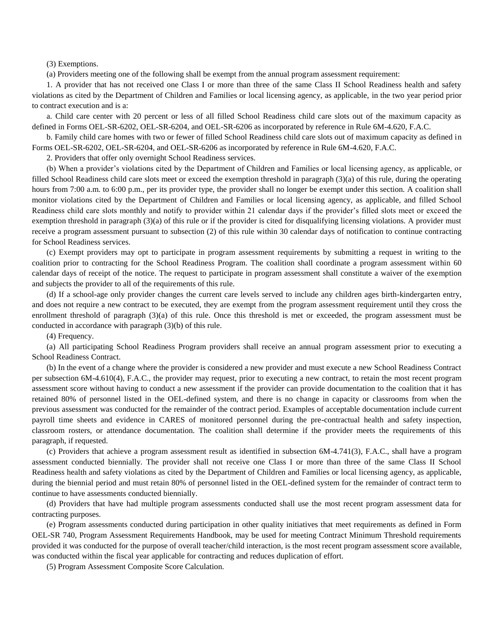(3) Exemptions.

(a) Providers meeting one of the following shall be exempt from the annual program assessment requirement:

1. A provider that has not received one Class I or more than three of the same Class II School Readiness health and safety violations as cited by the Department of Children and Families or local licensing agency, as applicable, in the two year period prior to contract execution and is a:

a. Child care center with 20 percent or less of all filled School Readiness child care slots out of the maximum capacity as defined in Forms OEL-SR-6202, OEL-SR-6204, and OEL-SR-6206 as incorporated by reference in Rule 6M-4.620, F.A.C.

b. Family child care homes with two or fewer of filled School Readiness child care slots out of maximum capacity as defined in Forms OEL-SR-6202, OEL-SR-6204, and OEL-SR-6206 as incorporated by reference in Rule 6M-4.620, F.A.C.

2. Providers that offer only overnight School Readiness services.

(b) When a provider's violations cited by the Department of Children and Families or local licensing agency, as applicable, or filled School Readiness child care slots meet or exceed the exemption threshold in paragraph (3)(a) of this rule, during the operating hours from 7:00 a.m. to 6:00 p.m., per its provider type, the provider shall no longer be exempt under this section. A coalition shall monitor violations cited by the Department of Children and Families or local licensing agency, as applicable, and filled School Readiness child care slots monthly and notify to provider within 21 calendar days if the provider's filled slots meet or exceed the exemption threshold in paragraph (3)(a) of this rule or if the provider is cited for disqualifying licensing violations. A provider must receive a program assessment pursuant to subsection (2) of this rule within 30 calendar days of notification to continue contracting for School Readiness services.

(c) Exempt providers may opt to participate in program assessment requirements by submitting a request in writing to the coalition prior to contracting for the School Readiness Program. The coalition shall coordinate a program assessment within 60 calendar days of receipt of the notice. The request to participate in program assessment shall constitute a waiver of the exemption and subjects the provider to all of the requirements of this rule.

(d) If a school-age only provider changes the current care levels served to include any children ages birth-kindergarten entry, and does not require a new contract to be executed, they are exempt from the program assessment requirement until they cross the enrollment threshold of paragraph (3)(a) of this rule. Once this threshold is met or exceeded, the program assessment must be conducted in accordance with paragraph (3)(b) of this rule.

(4) Frequency.

(a) All participating School Readiness Program providers shall receive an annual program assessment prior to executing a School Readiness Contract.

(b) In the event of a change where the provider is considered a new provider and must execute a new School Readiness Contract per subsection 6M-4.610(4), F.A.C., the provider may request, prior to executing a new contract, to retain the most recent program assessment score without having to conduct a new assessment if the provider can provide documentation to the coalition that it has retained 80% of personnel listed in the OEL-defined system, and there is no change in capacity or classrooms from when the previous assessment was conducted for the remainder of the contract period. Examples of acceptable documentation include current payroll time sheets and evidence in CARES of monitored personnel during the pre-contractual health and safety inspection, classroom rosters, or attendance documentation. The coalition shall determine if the provider meets the requirements of this paragraph, if requested.

(c) Providers that achieve a program assessment result as identified in subsection 6M-4.741(3), F.A.C., shall have a program assessment conducted biennially. The provider shall not receive one Class I or more than three of the same Class II School Readiness health and safety violations as cited by the Department of Children and Families or local licensing agency, as applicable, during the biennial period and must retain 80% of personnel listed in the OEL-defined system for the remainder of contract term to continue to have assessments conducted biennially.

(d) Providers that have had multiple program assessments conducted shall use the most recent program assessment data for contracting purposes.

(e) Program assessments conducted during participation in other quality initiatives that meet requirements as defined in Form OEL-SR 740, Program Assessment Requirements Handbook, may be used for meeting Contract Minimum Threshold requirements provided it was conducted for the purpose of overall teacher/child interaction, is the most recent program assessment score available, was conducted within the fiscal year applicable for contracting and reduces duplication of effort.

(5) Program Assessment Composite Score Calculation.